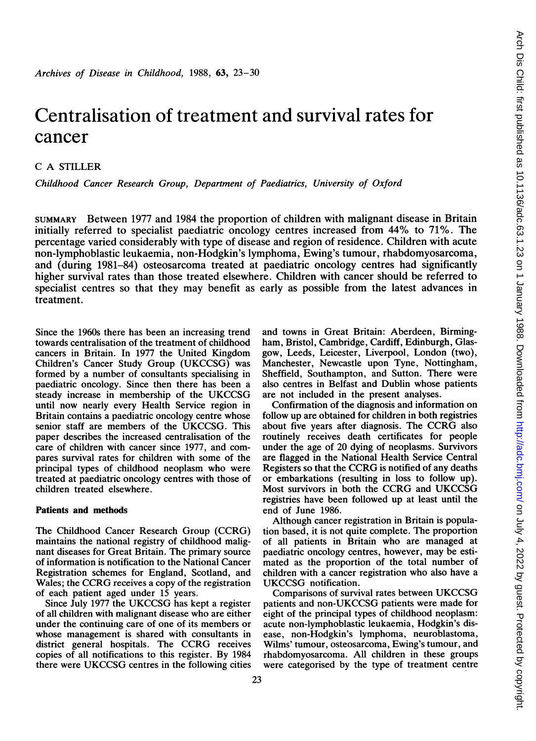# Centralisation of treatment and survival rates for cancer

# C A STILLER

Childhood Cancer Research Group, Department of Paediatrics, University of Oxford

SUMMARY Between 1977 and 1984 the proportion of children with malignant disease in Britain initially referred to specialist paediatric oncology centres increased from 44% to 71%. The percentage varied considerably with type of disease and region of residence. Children with acute non-lymphoblastic leukaemia, non-Hodgkin's lymphoma, Ewing's tumour, rhabdomyosarcoma, and (during 1981-84) osteosarcoma treated at paediatric oncology centres had significantly higher survival rates than those treated elsewhere. Children with cancer should be referred to specialist centres so that they may benefit as early as possible from the latest advances in treatment.

Since the 1960s there has been an increasing trend towards centralisation of the treatment of childhood cancers in Britain. In 1977 the United Kingdom Children's Cancer Study Group (UKCCSG) was formed by a number of consultants specialising in paediatric oncology. Since then there has been a steady increase in membership of the UKCCSG until now nearly every Health Service region in Britain contains a paediatric oncology centre whose senior staff are members of the UKCCSG. This paper describes the increased centralisation of the care of children with cancer since 1977, and compares survival rates for children with some of the principal types of childhood neoplasm who were treated at paediatric oncology centres with those of children treated elsewhere.

# Patients and methods

The Childhood Cancer Research Group (CCRG) maintains the national registry of childhood malignant diseases for Great Britain. The primary source of information is notification to the National Cancer Registration schemes for England, Scotland, and Wales; the CCRG receives <sup>a</sup> copy of the registration of each patient aged under 15 years.

Since July <sup>1977</sup> the UKCCSG has kept <sup>a</sup> register of all children with malignant disease who are either under the continuing care of one of its members or whose management is shared with consultants in district general hospitals. The CCRG receives copies of all notifications to this register. By 1984 there were UKCCSG centres in the following cities

and towns in Great Britain: Aberdeen, Birmingham, Bristol, Cambridge, Cardiff, Edinburgh, Glasgow, Leeds, Leicester, Liverpool, London (two), Manchester, Newcastle upon Tyne, Nottingham, Sheffield, Southampton, and Sutton. There were also centres in Belfast and Dublin whose patients are not included in the present analyses.

Confirmation of the diagnosis and information on follow up are obtained for children in both registries about five years after diagnosis. The CCRG also routinely receives death certificates for people under the age of 20 dying of neoplasms. Survivors are flagged in the National Health Service Central Registers so that the CCRG is notified of any deaths or embarkations (resulting in loss to follow up). Most survivors in both the CCRG and UKCCSG registries have been followed up at least until the end of June 1986.

Although cancer registration in Britain is population based, it is not quite complete. The proportion of all patients in Britain who are managed at paediatric oncology centres, however, may be estimated as the proportion of the total number of children with a cancer registration who also have a UKCCSG notification.

Comparisons of survival rates between UKCCSG patients and non-UKCCSG patients were made for eight of the principal types of childhood neoplasm: acute non-lymphoblastic leukaemia, Hodgkin's disease, non-Hodgkin's lymphoma, neuroblastoma, Wilms' tumour, osteosarcoma, Ewing's tumour, and rhabdomyosarcoma. All children in these groups were categorised by the type of treatment centre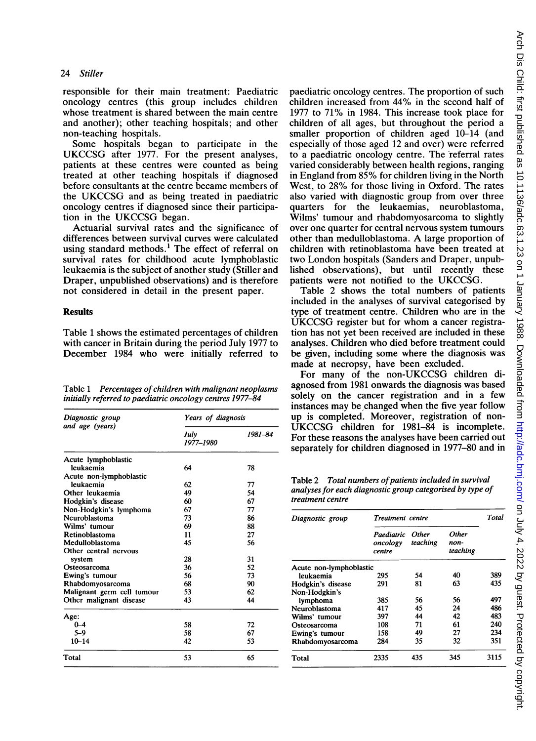responsible for their main treatment: Paediatric oncology centres (this group includes children whose treatment is shared between the main centre and another); other teaching hospitals; and other non-teaching hospitals.

Some hospitals began to participate in the UKCCSG after 1977. For the present analyses, patients at these centres were counted as being treated at other teaching hospitals if diagnosed before consultants at the centre became members of the UKCCSG and as being treated in paediatric oncology centres if diagnosed since their participation in the UKCCSG began.

Actuarial survival rates and the significance of differences between survival curves were calculated using standard methods.<sup>1</sup> The effect of referral on survival rates for childhood acute lymphoblastic leukaemia is the subject of another study (Stiller and Draper, unpublished observations) and is therefore not considered in detail in the present paper.

#### **Results**

Table <sup>1</sup> shows the estimated percentages of children with cancer in Britain during the period July 1977 to December 1984 who were initially referred to

Table 1 Percentages of children with malignant neoplasms initially referred to paediatric oncology centres 1977-84

| Diagnostic group           | Years of diagnosis |         |  |  |  |
|----------------------------|--------------------|---------|--|--|--|
| and age (years)            | July<br>1977-1980  | 1981–84 |  |  |  |
| Acute lymphoblastic        |                    |         |  |  |  |
| leukaemia                  | 64                 | 78      |  |  |  |
| Acute non-lymphoblastic    |                    |         |  |  |  |
| leukaemia                  | 62                 | 77      |  |  |  |
| Other leukaemia            | 49                 | 54      |  |  |  |
| Hodgkin's disease          | 60                 | 67      |  |  |  |
| Non-Hodgkin's lymphoma     | 67                 | 77      |  |  |  |
| <b>Neuroblastoma</b>       | 73                 | 86      |  |  |  |
| Wilms' tumour              | 69                 | 88      |  |  |  |
| Retinoblastoma             | 11                 | 27      |  |  |  |
| Medulloblastoma            | 45                 | 56      |  |  |  |
| Other central nervous      |                    |         |  |  |  |
| system                     | 28                 | 31      |  |  |  |
| Osteosarcoma               | 36                 | 52      |  |  |  |
| Ewing's tumour             | 56                 | 73      |  |  |  |
| Rhabdomyosarcoma           | 68                 | 90      |  |  |  |
| Malignant germ cell tumour | 53                 | 62      |  |  |  |
| Other malignant disease    | 43                 | 44      |  |  |  |
| Age:                       |                    |         |  |  |  |
| $0 - 4$                    | 58                 | 72      |  |  |  |
| $5 - 9$                    | 58                 | 67      |  |  |  |
| $10 - 14$                  | 42                 | 53      |  |  |  |
| Total                      | 53                 | 65      |  |  |  |

paediatric oncology centres. The proportion of such children increased from 44% in the second half of 1977 to 71% in 1984. This increase took place for children of all ages, but throughout the period a smaller proportion of children aged 10-14 (and especially of those aged 12 and over) were referred to a paediatric oncology centre. The referral rates varied considerably between health regions, ranging in England from 85% for children living in the North West, to 28% for those living in Oxford. The rates also varied with diagnostic group from over three quarters for the leukaemias, neuroblastoma, Wilms' tumour and rhabdomyosarcoma to slightly over one quarter for central nervous system tumours other than medulloblastoma. A large proportion of children with retinoblastoma have been treated at two London hospitals (Sanders and Draper, unpublished observations), but until recently these patients were not notified to the UKCCSG.

Table 2 shows the total numbers of patients included in the analyses of survival categorised by type of treatment centre. Children who are in the UKCCSG register but for whom <sup>a</sup> cancer registration has not yet been received are included in these analyses. Children who died before treatment could be given, including some where the diagnosis was made at necropsy, have been excluded.

For many of the non-UKCCSG children diagnosed from 1981 onwards the diagnosis was based solely on the cancer registration and in a few instances may be changed when the five year follow up is completed. Moreover, registration of non-UKCCSG children for 1981-84 is incomplete. For these reasons the analyses have been carried out separately for children diagnosed in 1977-80 and in

Table 2 Total numbers of patients included in survival analyses for each diagnostic group categorised by type of treatment centre

| Diagnostic group        | Treatment centre                 | Total             |                           |      |
|-------------------------|----------------------------------|-------------------|---------------------------|------|
|                         | Paediatric<br>oncology<br>centre | Other<br>teaching | Other<br>non-<br>teaching |      |
| Acute non-lymphoblastic |                                  |                   |                           |      |
| leukaemia               | 295                              | 54                | 40                        | 389  |
| Hodgkin's disease       | 291                              | 81                | 63                        | 435  |
| Non-Hodgkin's           |                                  |                   |                           |      |
| lymphoma                | 385                              | 56                | 56                        | 497  |
| <b>Neuroblastoma</b>    | 417                              | 45                | 24                        | 486  |
| Wilms' tumour           | 397                              | 44                | 42                        | 483  |
| Osteosarcoma            | 108                              | 71                | 61                        | 240  |
| Ewing's tumour          | 158                              | 49                | 27                        | 234  |
| Rhabdomyosarcoma        | 284                              | 35                | 32                        | 351  |
| Total                   | 2335                             | 435               | 345                       | 3115 |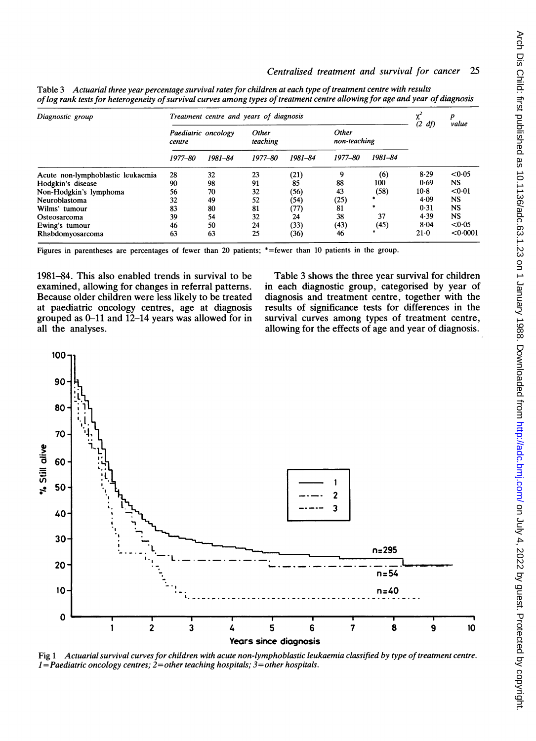| Centralised treatment and survival for cancer 25 |  |  |  |  |  |
|--------------------------------------------------|--|--|--|--|--|
|--------------------------------------------------|--|--|--|--|--|

| Diagnostic group                  | Treatment centre and years of diagnosis |         |                   |         |                       |         | ^          | p         |
|-----------------------------------|-----------------------------------------|---------|-------------------|---------|-----------------------|---------|------------|-----------|
|                                   | Paediatric oncology<br>centre           |         | Other<br>teaching |         | Other<br>non-teaching |         | (2)<br>df) | value     |
|                                   | 1977-80                                 | 1981–84 | 1977-80           | 1981-84 | 1977-80               | 1981-84 |            |           |
| Acute non-lymphoblastic leukaemia | 28                                      | 32      | 23                | (21)    | 9                     | (6)     | 8.29       | < 0.05    |
| Hodgkin's disease                 | 90                                      | 98      | 91                | 85      | 88                    | 100     | 0.69       | NS.       |
| Non-Hodgkin's lymphoma            | 56                                      | 70      | 32                | (56)    | 43                    | (58)    | $10-8$     | < 0.01    |
| Neuroblastoma                     | 32                                      | 49      | 52                | (54)    | (25)                  |         | 4.09       | <b>NS</b> |
| Wilms' tumour                     | 83                                      | 80      | 81                | (77)    | 81                    |         | 0.31       | <b>NS</b> |
| Osteosarcoma                      | 39                                      | 54      | 32                | 24      | 38                    | 37      | 4.39       | <b>NS</b> |
| Ewing's tumour                    | 46                                      | 50      | 24                | (33)    | (43)                  | (45)    | 8.04       | <0.05     |
| Rhabdomyosarcoma                  | 63                                      | 63      | 25                | (36)    | 46                    |         | $21 - 0$   | < 0.0001  |

Table 3 Actuarial three year percentage survival rates for children at each type of treatment centre with results of log rank tests for heterogeneity of survival curves among types of treatment centre allowing for age and year of diagnosis

Figures in parentheses are percentages of fewer than 20 patients; \*=fewer than 10 patients in the group.

1981-84. This also enabled trends in survival to be examined, allowing for changes in referral patterns. Because older children were less likely to be treated at paediatric oncology centres, age at diagnosis grouped as 0-11 and 12-14 years was allowed for in all the analyses.

Table 3 shows the three year survival for children in each diagnostic group, categorised by year of diagnosis and treatment centre, together with the results of significance tests for differences in the survival curves among types of treatment centre, allowing for the effects of age and year of diagnosis.



Fig 1 Actuarial survival curves for children with acute non-lymphoblastic leukaemia classified by type of treatment centre.  $I = P$ aediatric oncology centres;  $2 =$ other teaching hospitals;  $3 =$ other hospitals.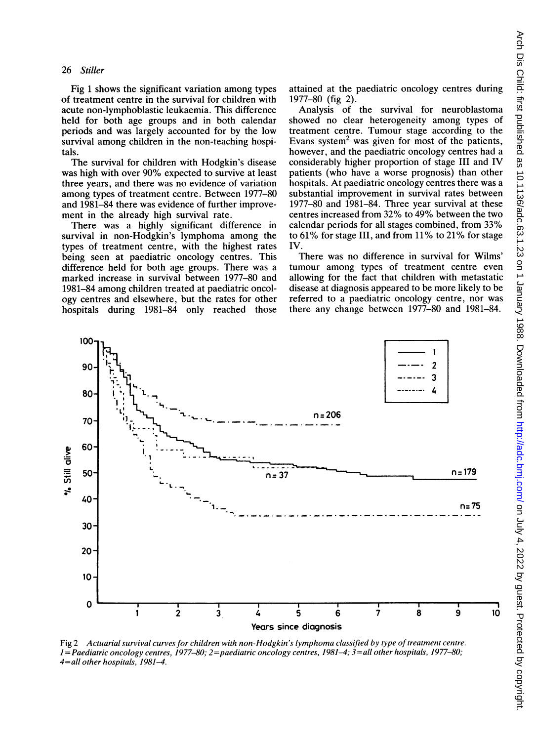### 26 Stiller

Fig <sup>1</sup> shows the significant variation among types of treatment centre in the survival for children with acute non-lymphoblastic leukaemia. This difference held for both age groups and in both calendar periods and was largely accounted for by the low survival among children in the non-teaching hospitals.

The survival for children with Hodgkin's disease was high with over 90% expected to survive at least three years, and there was no evidence of variation among types of treatment centre. Between 1977-80 and 1981-84 there was evidence of further improvement in the already high survival rate.

There was a highly significant difference in survival in non-Hodgkin's lymphoma among the types of treatment centre, with the highest rates being seen at paediatric oncology centres. This difference held for both age groups. There was a marked increase in survival between 1977-80 and 1981-84 among children treated at paediatric oncology centres and elsewhere, but the rates for other hospitals during 1981-84 only reached those attained at the paediatric oncology centres during 1977-80 (fig 2).

Analysis of the survival for neuroblastoma showed no clear heterogeneity among types of treatment centre. Tumour stage according to the Evans system<sup>2</sup> was given for most of the patients, however, and the paediatric oncology centres had a considerably higher proportion of stage III and IV patients (who have a worse prognosis) than other hospitals. At paediatric oncology centres there was a substantial improvement in survival rates between 1977-80 and 1981-84. Three year survival at these centres increased from 32% to 49% between the two calendar periods for all stages combined, from 33% to  $61\%$  for stage III, and from 11% to 21% for stage IV.

There was no difference in survival for Wilms' tumour among types of treatment centre even allowing for the fact that children with metastatic disease at diagnosis appeared to be more likely to be referred to a paediatric oncology centre, nor was there any change between 1977-80 and 1981-84.



Fig 2 Actuarial survival curves for children with non-Hodgkin's lymphoma classified by type of treatment centre. 1=Paediatric oncology centres, 1977-80; 2=paediatric oncology centres, 1981-4; 3=all other hospitals, 1977-80; 4=all other hospitals, 1981-4.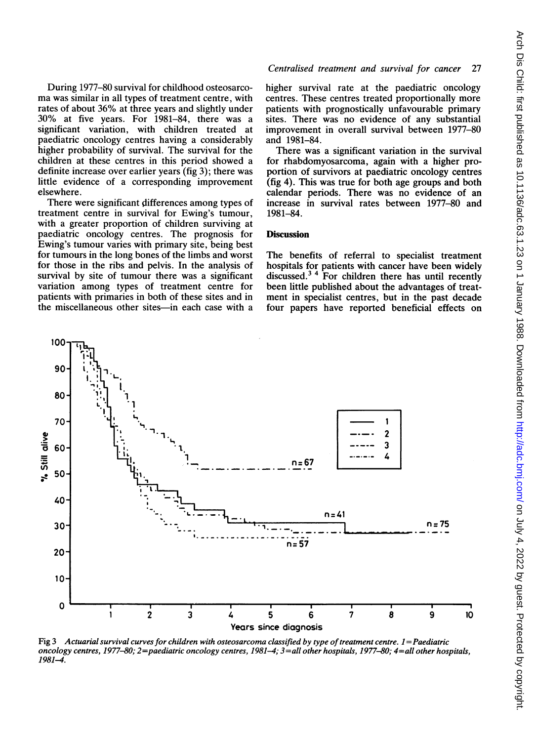During 1977-80 survival for childhood osteosarcoma was similar in all types of treatment centre, with rates of about 36% at three years and slightly under 30% at five years. For 1981-84, there was <sup>a</sup> significant variation, with children treated at paediatric oncology centres having a considerably higher probability of survival. The survival for the children at these centres in this period showed a definite increase over earlier years (fig 3); there was little evidence of a corresponding improvement elsewhere.

There were significant differences among types of treatment centre in survival for Ewing's tumour, with a greater proportion of children surviving at paediatric oncology centres. The prognosis for Ewing's tumour varies with primary site, being best for tumours in the long bones of the limbs and worst for those in the ribs and pelvis. In the analysis of survival by site of tumour there was a significant variation among types of treatment centre for patients with primaries in both of these sites and in the miscellaneous other sites-in each case with a

## Centralised treatment and survival for cancer 27

higher survival rate at the paediatric oncology centres. These centres treated proportionally more patients with prognostically unfavourable primary sites. There was no evidence of any substantial improvement in overall survival between 1977-80 and 1981-84.

There was a significant variation in the survival for rhabdomyosarcoma, again with a higher proportion of survivors at paediatric oncology centres (fig 4). This was true for both age groups and both calendar periods. There was no evidence of an increase in survival rates between 1977-80 and 1981-84.

### **Discussion**

The benefits of referral to specialist treatment hospitals for patients with cancer have been widely discussed.3 <sup>4</sup> For children there has until recently been little published about the advantages of treatment in specialist centres, but in the past decade four papers have reported beneficial effects on



Fig 3 Actuarial survival curves for children with osteosarcoma classified by type of treatment centre. 1=Paediatric oncology centres, 1977-80; 2=paediatric oncology centres, 1981-4; 3=all other hospitals, 1977-80; 4=all other hospitals, 1981-4.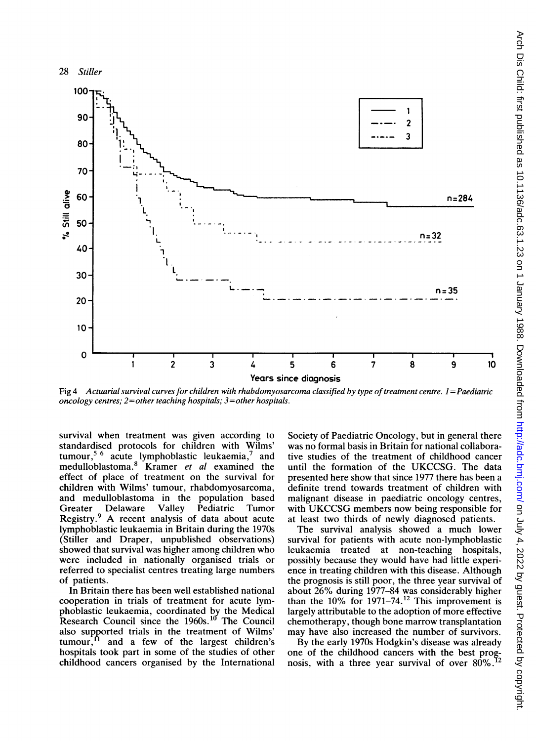



Fig 4 Actuarial survival curves for children with rhabdomyosarcoma classified by type of treatment centre.  $1 =$ Paediatric oncology centres;  $2$ =other teaching hospitals;  $3$ =other hospitals.

survival when treatment was given according to standardised protocols for children with Wilms' tumour,<sup>5 6</sup> acute lymphoblastic leukaemia,<sup>7</sup> and medulloblastoma.8 Kramer et al examined the effect of place of treatment on the survival for children with Wilms' tumour, rhabdomyosarcoma, and medulloblastoma in the population based Greater Delaware Valley Pediatric Tumor Registry.9 A recent analysis of data about acute lymphoblastic leukaemia in Britain during the 1970s (Stiller and Draper, unpublished observations) showed that survival was higher among children who were included in nationally organised trials or referred to specialist centres treating large numbers of patients.

In Britain there has been well established national cooperation in trials of treatment for acute lymphoblastic leukaemia, coordinated by the Medical Research Council since the  $1960s$ .<sup>10</sup> The Council also supported trials in the treatment of Wilms'  $tumour$ ,<sup> $\Omega$ </sup> and a few of the largest children's hospitals took part in some of the studies of other childhood cancers organised by the International Society of Paediatric Oncology, but in general there was no formal basis in Britain for national collaborative studies of the treatment of childhood cancer until the formation of the UKCCSG. The data presented here show that since 1977 there has been a definite trend towards treatment of children with malignant disease in paediatric oncology centres, with UKCCSG members now being responsible for at least two thirds of newly diagnosed patients.

The survival analysis showed a much lower survival for patients with acute non-lymphoblastic leukaemia treated at non-teaching hospitals, possibly because they would have had little experience in treating children with this disease. Although the prognosis is still poor, the three year survival of about 26% during 1977-84 was considerably higher than the 10% for 1971–74.<sup>12</sup> This improvement is largely attributable to the adoption of more effective chemotherapy, though bone marrow transplantation may have also increased the number of survivors.

By the early 1970s Hodgkin's disease was already by the carry 2278 are  $\frac{1}{2}$  with the best prog-<br>one of the childhood cancers with the best prognosis, with a three year survival of over 80%.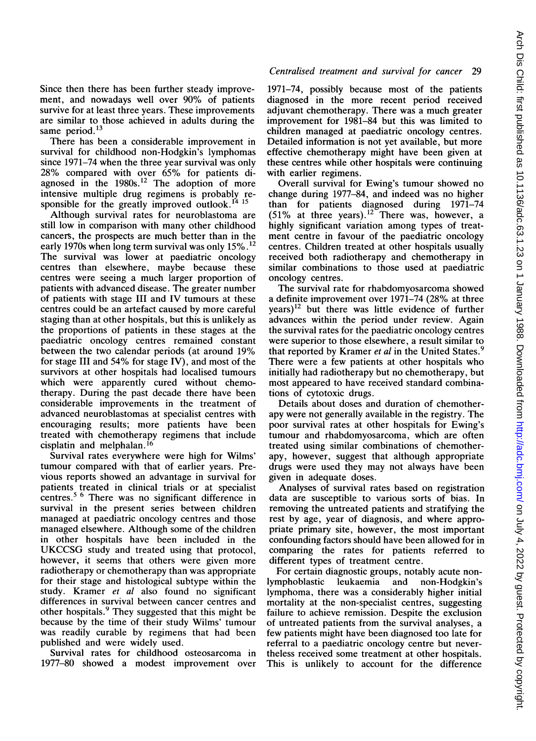Since then there has been further steady improvement, and nowadays well over 90% of patients survive for at least three years. These improvements are similar to those achieved in adults during the same period.<sup>13</sup>

There has been a considerable improvement in survival for childhood non-Hodgkin's lymphomas since 1971-74 when the three year survival was only 28% compared with over 65% for patients diagnosed in the  $1980s$ .<sup>12</sup> The adoption of more intensive multiple drug regimens is probably responsible for the greatly improved outlook.<sup>14 15</sup>

Although survival rates for neuroblastoma are still low in comparison with many other childhood cancers, the prospects are much better than in the early 1970s when long term survival was only 15%.<sup>12</sup> The survival was lower at paediatric oncology centres than elsewhere, maybe because these centres were seeing a much larger proportion of patients with advanced disease. The greater number of patients with stage III and IV tumours at these centres could be an artefact caused by more careful staging than at other hospitals, but this is unlikely as the proportions of patients in these stages at the paediatric oncology centres remained constant between the two calendar periods (at around 19% for stage III and 54% for stage IV), and most of the survivors at other hospitals had localised tumours which were apparently cured without chemotherapy. During the past decade there have been considerable improvements in the treatment of advanced neuroblastomas at specialist centres with encouraging results; more patients have been treated with chemotherapy regimens that include cisplatin and melphalan.16

Survival rates everywhere were high for Wilms' tumour compared with that of earlier years. Previous reports showed an advantage in survival for patients treated in clinical trials or at specialist centres.5 <sup>6</sup> There was no significant difference in survival in the present series between children managed at paediatric oncology centres and those managed elsewhere. Although some of the children in other hospitals have been included in the UKCCSG study and treated using that protocol, however, it seems that others were given more radiotherapy or chemotherapy than was appropriate for their stage and histological subtype within the study. Kramer et al also found no significant differences in survival between cancer centres and other hospitals.9 They suggested that this might be because by the time of their study Wilms' tumour was readily curable by regimens that had been published and were widely used.

Survival rates for childhood osteosarcoma in 1977-80 showed a modest improvement over

## Centralised treatment and survival for cancer 29

1971-74, possibly because most of the patients diagnosed in the more recent period received adjuvant chemotherapy. There was a much greater improvement for 1981-84 but this was limited to children managed at paediatric oncology centres. Detailed information is not yet available, but more effective chemotherapy might have been given at these centres while other hospitals were continuing with earlier regimens.

Overall survival for Ewing's tumour showed no change during 1977-84, and indeed was no higher than for patients diagnosed during 1971-74  $(51\%$  at three years).<sup>12</sup> There was, however, a highly significant variation among types of treatment centre in favour of the paediatric oncology centres. Children treated at other hospitals usually received both radiotherapy and chemotherapy in similar combinations to those used at paediatric oncology centres.

The survival rate for rhabdomyosarcoma showed a definite improvement over 1971-74 (28% at three  $\gamma$  but there was little evidence of further advances within the period under review. Again the survival rates for the paediatric oncology centres were superior to those elsewhere, a result similar to that reported by Kramer et al in the United States.<sup>9</sup> There were a few patients at other hospitals who initially had radiotherapy but no chemotherapy, but most appeared to have received standard combinations of cytotoxic drugs.

Details about doses and duration of chemotherapy were not generally available in the registry. The poor survival rates at other hospitals for Ewing's tumour and rhabdomyosarcoma, which are often treated using similar combinations of chemotherapy, however, suggest that although appropriate drugs were used they may not always have been given in adequate doses.

Analyses of survival rates based on registration data are susceptible to various sorts of bias. In removing the untreated patients and stratifying the rest by age, year of diagnosis, and where appropriate primary site, however, the most important confounding factors should have been allowed for in comparing the rates for patients referred to different types of treatment centre.

For certain diagnostic groups, notably acute non-<br>lymphoblastic leukaemia and non-Hodgkin's non-Hodgkin's lymphoma, there was a considerably higher initial mortality at the non-specialist centres, suggesting failure to achieve remission. Despite the exclusion of untreated patients from the survival analyses, a few patients might have been diagnosed too late for referral to a paediatric oncology centre but nevertheless received some treatment at other hospitals. This is unlikely to account for the difference